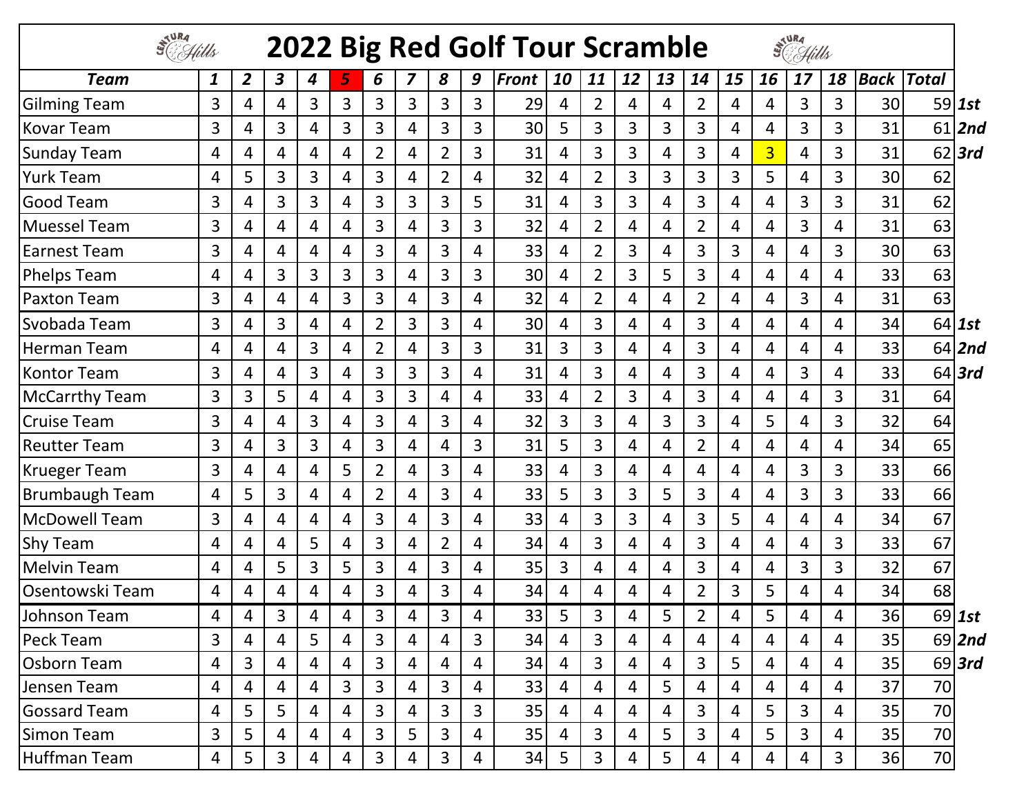| S <sup>JURA</sup><br>SC Hills<br>STURA<br>SC Hills<br>2022 Big Red Golf Tour Scramble |   |                |   |                |                |                |                |                |                |       |                |                |                |    |                |    |                |    |                |             |              |           |
|---------------------------------------------------------------------------------------|---|----------------|---|----------------|----------------|----------------|----------------|----------------|----------------|-------|----------------|----------------|----------------|----|----------------|----|----------------|----|----------------|-------------|--------------|-----------|
| <b>Team</b>                                                                           | 1 | $\overline{2}$ | 3 | 4              | 5              | 6              | 7              | 8              | 9              | Front | 10             | 11             | 12             | 13 | 14             | 15 | 16             | 17 | 18             | <b>Back</b> | <b>Total</b> |           |
| <b>Gilming Team</b>                                                                   | 3 | 4              | 4 | 3              | 3              | 3              | 3              | 3              | 3              | 29    | 4              | $\overline{2}$ | 4              | 4  | $\overline{2}$ | 4  | 4              | 3  | 3              | 30          |              | $59$ 1st  |
| <b>Kovar Team</b>                                                                     | 3 | 4              | 3 | 4              | 3              | 3              | 4              | 3              | 3              | 30    | 5              | 3              | 3              | 3  | 3              | 4  | 4              | 3  | 3              | 31          | 61           | 2nd       |
| <b>Sunday Team</b>                                                                    | 4 | 4              | 4 | 4              | 4              | $\overline{2}$ | 4              | $\overline{2}$ | 3              | 31    | 4              | 3              | 3              | 4  | 3              | 4  | $\overline{3}$ | 4  | 3              | 31          |              | $62$  3rd |
| <b>Yurk Team</b>                                                                      | 4 | 5              | 3 | 3              | 4              | 3              | 4              | $\overline{2}$ | 4              | 32    | 4              | $\overline{2}$ | 3              | 3  | 3              | 3  | 5              | 4  | 3              | 30          | 62           |           |
| <b>Good Team</b>                                                                      | 3 | 4              | 3 | 3              | 4              | 3              | 3              | 3              | 5              | 31    | 4              | 3              | 3              | 4  | 3              | 4  | 4              | 3  | 3              | 31          | 62           |           |
| <b>Muessel Team</b>                                                                   | 3 | 4              | 4 | 4              | 4              | 3              | 4              | 3              | 3              | 32    | 4              | $\overline{2}$ | 4              | 4  | $\overline{2}$ | 4  | 4              | 3  | 4              | 31          | 63           |           |
| <b>Earnest Team</b>                                                                   | 3 | 4              | 4 | 4              | 4              | 3              | 4              | 3              | 4              | 33    | 4              | $\overline{2}$ | 3              | 4  | 3              | 3  | 4              | 4  | $\overline{3}$ | 30          | 63           |           |
| <b>Phelps Team</b>                                                                    | 4 | 4              | 3 | 3              | 3              | 3              | 4              | 3              | 3              | 30    | 4              | $\overline{2}$ | 3              | 5  | 3              | 4  | 4              | 4  | 4              | 33          | 63           |           |
| <b>Paxton Team</b>                                                                    | 3 | 4              | 4 | 4              | 3              | 3              | 4              | $\overline{3}$ | 4              | 32    | 4              | $\overline{2}$ | 4              | 4  | $\overline{2}$ | 4  | 4              | 3  | 4              | 31          | 63           |           |
| Svobada Team                                                                          | 3 | 4              | 3 | 4              | 4              | 2              | 3              | 3              | 4              | 30    | 4              | 3              | 4              | 4  | 3              | 4  | 4              | 4  | 4              | 34          |              | $64$ 1st  |
| <b>Herman Team</b>                                                                    | 4 | 4              | 4 | 3              | 4              | $\overline{2}$ | 4              | 3              | 3              | 31    | 3              | 3              | 4              | 4  | 3              | 4  | 4              | 4  | 4              | 33          |              | $64$  2nd |
| <b>Kontor Team</b>                                                                    | 3 | 4              | 4 | 3              | 4              | 3              | 3              | $\overline{3}$ | 4              | 31    | 4              | 3              | 4              | 4  | 3              | 4  | 4              | 3  | 4              | 33          |              | $64$ 3rd  |
| <b>McCarrthy Team</b>                                                                 | 3 | 3              | 5 | 4              | 4              | $\overline{3}$ | 3              | 4              | 4              | 33    | 4              | $\overline{2}$ | 3              | 4  | 3              | 4  | 4              | 4  | 3              | 31          | 64           |           |
| <b>Cruise Team</b>                                                                    | 3 | 4              | 4 | 3              | 4              | 3              | 4              | 3              | 4              | 32    | 3              | 3              | 4              | 3  | 3              | 4  | 5              | 4  | 3              | 32          | 64           |           |
| <b>Reutter Team</b>                                                                   | 3 | 4              | 3 | $\overline{3}$ | 4              | 3              | 4              | 4              | 3              | 31    | 5              | 3              | 4              | 4  | $\overline{2}$ | 4  | 4              | 4  | 4              | 34          | 65           |           |
| <b>Krueger Team</b>                                                                   | 3 | 4              | 4 | 4              | 5              | $\overline{2}$ | 4              | 3              | 4              | 33    | 4              | 3              | 4              | 4  | 4              | 4  | 4              | 3  | 3              | 33          | 66           |           |
| <b>Brumbaugh Team</b>                                                                 | 4 | 5              | 3 | 4              | 4              | $\overline{2}$ | 4              | 3              | 4              | 33    | 5              | 3              | 3              | 5  | 3              | 4  | 4              | 3  | 3              | 33          | 66           |           |
| <b>McDowell Team</b>                                                                  | 3 | 4              | 4 | 4              | 4              | 3              | $\overline{4}$ | 3              | 4              | 33    | 4              | 3              | 3              | 4  | 3              | 5  | 4              | 4  | 4              | 34          | 67           |           |
| <b>Shy Team</b>                                                                       | 4 | 4              | 4 | 5              | 4              | 3              | 4              | $\overline{2}$ | 4              | 34    | 4              | 3              | 4              | 4  | 3              | 4  | 4              | 4  | 3              | 33          | 67           |           |
| <b>Melvin Team</b>                                                                    | 4 | 4              | 5 | 3              | 5              | 3              | 4              | 3              | 4              | 35    | 3              | 4              | 4              | 4  | 3              | 4  | 4              | 3  | 3              | 32          | 67           |           |
| <b>Osentowski Team</b>                                                                | 4 | 4              | 4 | 4              | 4              | 3              | 4              | 3              | 4              | 34    | 4              | 4              | 4              | 4  | 2              | 3  | 5              | 4  | 4              | 34          | 68           |           |
| Johnson Team                                                                          | 4 | 4              | 3 | 4              | 4              | 3              | 4              | 3              | 4              | 33    | 5              | 3              | 4              | 5  | $\overline{2}$ | 4  | 5              | 4  | 4              | 36          |              | $69$ 1st  |
| <b>Peck Team</b>                                                                      | 3 | 4              | 4 | 5              | $\overline{4}$ | 3              | $\overline{4}$ | $\overline{4}$ | $\overline{3}$ | 34    | $\overline{4}$ | $\overline{3}$ | $\overline{4}$ | 4  | 4              | 4  | 4              | 4  | 4              | 35          |              | $69$  2nd |
| <b>Osborn Team</b>                                                                    | 4 | 3              | 4 | 4              | 4              | 3              | 4              | $\overline{4}$ | 4              | 34    | $\overline{4}$ | 3              | $\overline{4}$ | 4  | 3              | 5  | 4              | 4  | $\overline{4}$ | 35          |              | $69$ 3rd  |
| Jensen Team                                                                           | 4 | 4              | 4 | 4              | 3              | 3              | $\overline{4}$ | $\mathbf{3}$   | 4              | 33    | 4              | 4              | $\overline{4}$ | 5  | 4              | 4  | 4              | 4  | $\overline{4}$ | 37          | 70           |           |
| <b>Gossard Team</b>                                                                   | 4 | 5              | 5 | 4              | 4              | 3              | 4              | $\mathbf{3}$   | 3              | 35    | 4              | 4              | $\overline{4}$ | 4  | 3              | 4  | 5              | 3  | $\overline{4}$ | 35          | 70           |           |
| <b>Simon Team</b>                                                                     | 3 | 5              | 4 | 4              | 4              | 3              | 5              | $\mathbf{3}$   | 4              | 35    | 4              | 3              | 4              | 5  | 3              | 4  | 5              | 3  | 4              | 35          | 70           |           |
| <b>Huffman Team</b>                                                                   | 4 | 5              | 3 | 4              | 4              | $\mathbf{3}$   | 4              | $\mathbf{3}$   | 4              | 34    | 5              | 3              | 4              | 5  | 4              | 4  | 4              | 4  | $\overline{3}$ | 36          | 70           |           |